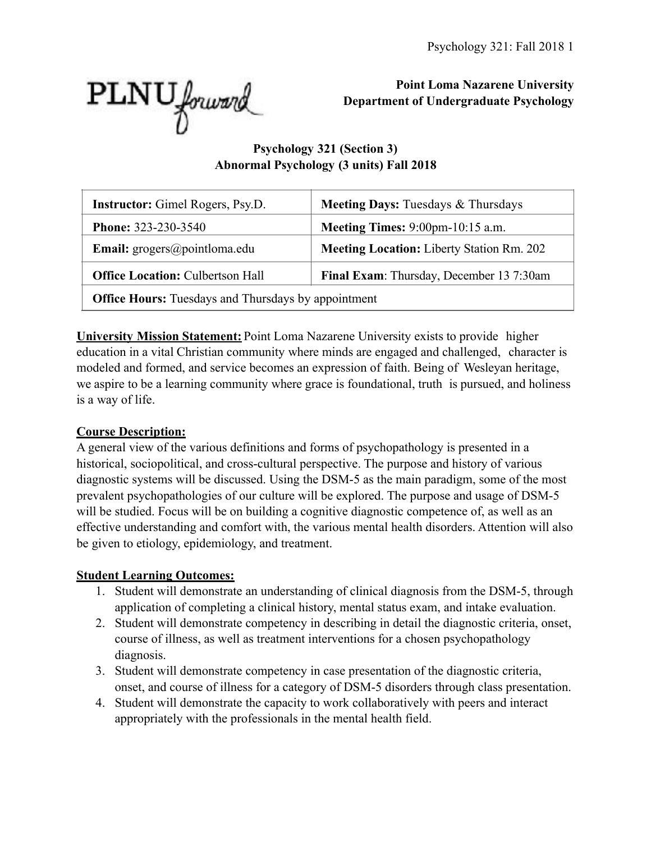

**Point Loma Nazarene University Department of Undergraduate Psychology** 

# **Psychology 321 (Section 3) Abnormal Psychology (3 units) Fall 2018**

| <b>Instructor:</b> Gimel Rogers, Psy.D.                                                   | <b>Meeting Days: Tuesdays &amp; Thursdays</b>    |  |  |  |  |
|-------------------------------------------------------------------------------------------|--------------------------------------------------|--|--|--|--|
| <b>Phone: 323-230-3540</b><br><b>Meeting Times:</b> $9:00 \text{pm} - 10:15 \text{ a.m.}$ |                                                  |  |  |  |  |
| <b>Email:</b> $\text{grogers}(\text{a})$ pointloma.edu                                    | <b>Meeting Location:</b> Liberty Station Rm. 202 |  |  |  |  |
| Final Exam: Thursday, December 13 7:30am<br><b>Office Location: Culbertson Hall</b>       |                                                  |  |  |  |  |
| <b>Office Hours:</b> Tuesdays and Thursdays by appointment                                |                                                  |  |  |  |  |

**University Mission Statement:** Point Loma Nazarene University exists to provide higher education in a vital Christian community where minds are engaged and challenged, character is modeled and formed, and service becomes an expression of faith. Being of Wesleyan heritage, we aspire to be a learning community where grace is foundational, truth is pursued, and holiness is a way of life.

## **Course Description:**

A general view of the various definitions and forms of psychopathology is presented in a historical, sociopolitical, and cross-cultural perspective. The purpose and history of various diagnostic systems will be discussed. Using the DSM-5 as the main paradigm, some of the most prevalent psychopathologies of our culture will be explored. The purpose and usage of DSM-5 will be studied. Focus will be on building a cognitive diagnostic competence of, as well as an effective understanding and comfort with, the various mental health disorders. Attention will also be given to etiology, epidemiology, and treatment.

## **Student Learning Outcomes:**

- 1. Student will demonstrate an understanding of clinical diagnosis from the DSM-5, through application of completing a clinical history, mental status exam, and intake evaluation.
- 2. Student will demonstrate competency in describing in detail the diagnostic criteria, onset, course of illness, as well as treatment interventions for a chosen psychopathology diagnosis.
- 3. Student will demonstrate competency in case presentation of the diagnostic criteria, onset, and course of illness for a category of DSM-5 disorders through class presentation.
- 4. Student will demonstrate the capacity to work collaboratively with peers and interact appropriately with the professionals in the mental health field.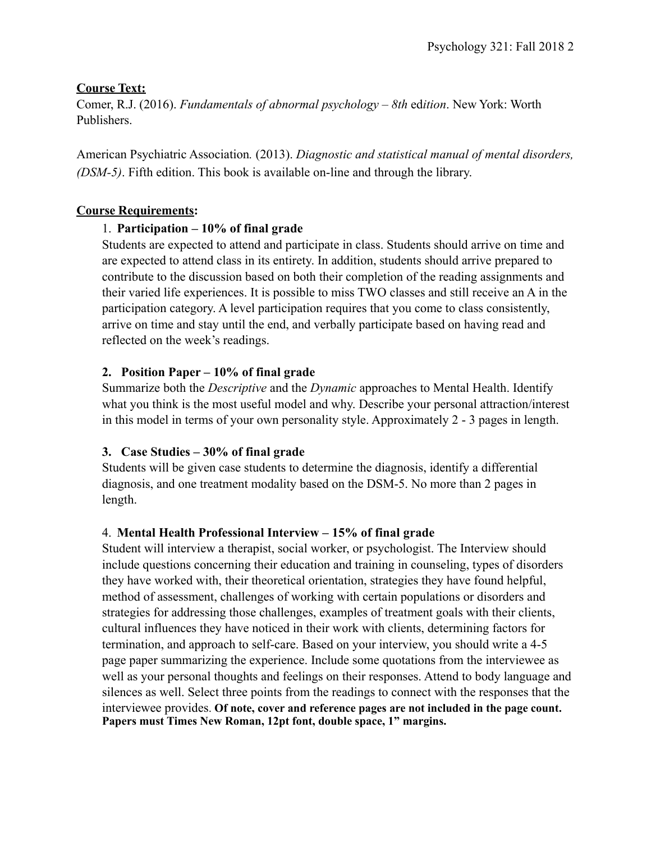#### **Course Text:**

Comer, R.J. (2016). *Fundamentals of abnormal psychology – 8th* ed*ition*. New York: Worth Publishers.

American Psychiatric Association*.* (2013). *Diagnostic and statistical manual of mental disorders, (DSM-5)*. Fifth edition. This book is available on-line and through the library.

## **Course Requirements:**

## 1. **Participation – 10% of final grade**

Students are expected to attend and participate in class. Students should arrive on time and are expected to attend class in its entirety. In addition, students should arrive prepared to contribute to the discussion based on both their completion of the reading assignments and their varied life experiences. It is possible to miss TWO classes and still receive an A in the participation category. A level participation requires that you come to class consistently, arrive on time and stay until the end, and verbally participate based on having read and reflected on the week's readings.

## **2. Position Paper – 10% of final grade**

Summarize both the *Descriptive* and the *Dynamic* approaches to Mental Health. Identify what you think is the most useful model and why. Describe your personal attraction/interest in this model in terms of your own personality style. Approximately 2 - 3 pages in length.

## **3. Case Studies – 30% of final grade**

Students will be given case students to determine the diagnosis, identify a differential diagnosis, and one treatment modality based on the DSM-5. No more than 2 pages in length.

## 4. **Mental Health Professional Interview – 15% of final grade**

Student will interview a therapist, social worker, or psychologist. The Interview should include questions concerning their education and training in counseling, types of disorders they have worked with, their theoretical orientation, strategies they have found helpful, method of assessment, challenges of working with certain populations or disorders and strategies for addressing those challenges, examples of treatment goals with their clients, cultural influences they have noticed in their work with clients, determining factors for termination, and approach to self-care. Based on your interview, you should write a 4-5 page paper summarizing the experience. Include some quotations from the interviewee as well as your personal thoughts and feelings on their responses. Attend to body language and silences as well. Select three points from the readings to connect with the responses that the interviewee provides. **Of note, cover and reference pages are not included in the page count. Papers must Times New Roman, 12pt font, double space, 1" margins.**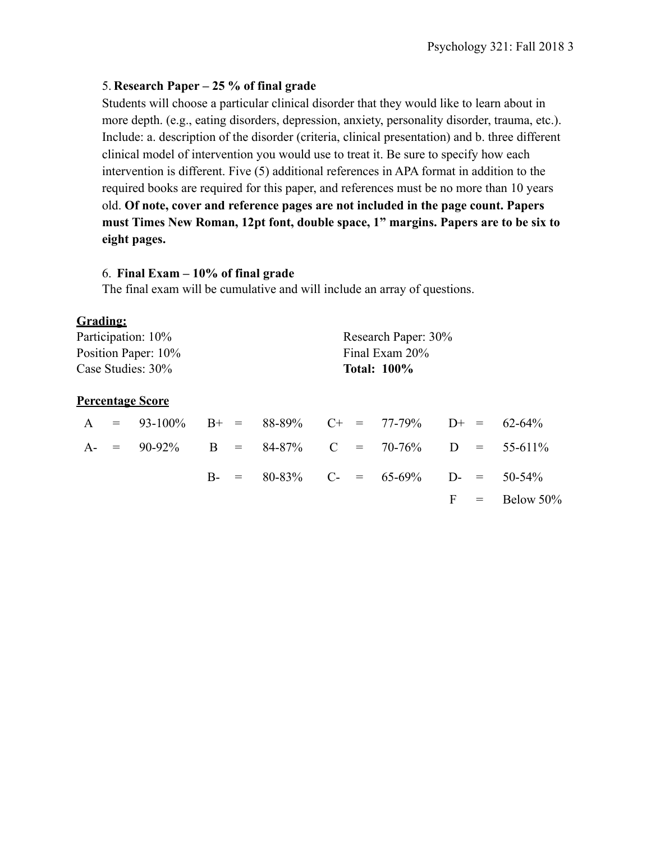#### 5. **Research Paper – 25 % of final grade**

Students will choose a particular clinical disorder that they would like to learn about in more depth. (e.g., eating disorders, depression, anxiety, personality disorder, trauma, etc.). Include: a. description of the disorder (criteria, clinical presentation) and b. three different clinical model of intervention you would use to treat it. Be sure to specify how each intervention is different. Five (5) additional references in APA format in addition to the required books are required for this paper, and references must be no more than 10 years old. **Of note, cover and reference pages are not included in the page count. Papers must Times New Roman, 12pt font, double space, 1" margins. Papers are to be six to eight pages.** 

#### 6. **Final Exam – 10% of final grade**

The final exam will be cumulative and will include an array of questions.

#### **Grading:**

|                   |  | Participation: 10%                               |  | Research Paper: 30% |  |  |  |  |
|-------------------|--|--------------------------------------------------|--|---------------------|--|--|--|--|
|                   |  | Position Paper: 10%<br>Final Exam 20%            |  |                     |  |  |  |  |
| Case Studies: 30% |  | <b>Total: 100%</b>                               |  |                     |  |  |  |  |
|                   |  | <u>Percentage Score</u>                          |  |                     |  |  |  |  |
| $\mathbf{A}$      |  | $= 93-100\%$ B+ = 88-89% C+ = 77-79% D+ = 62-64% |  |                     |  |  |  |  |

|  | $A = 93$ -10070 DT = 00-0970 CT = 11-1970 DT = 02-0470 |  |  |                                              |  |                  |
|--|--------------------------------------------------------|--|--|----------------------------------------------|--|------------------|
|  | A- = 90-92% B = 84-87% C = 70-76% D = 55-611%          |  |  |                                              |  |                  |
|  |                                                        |  |  | B- = $80-83\%$ C- = $65-69\%$ D- = $50-54\%$ |  |                  |
|  |                                                        |  |  |                                              |  | $F = Below 50\%$ |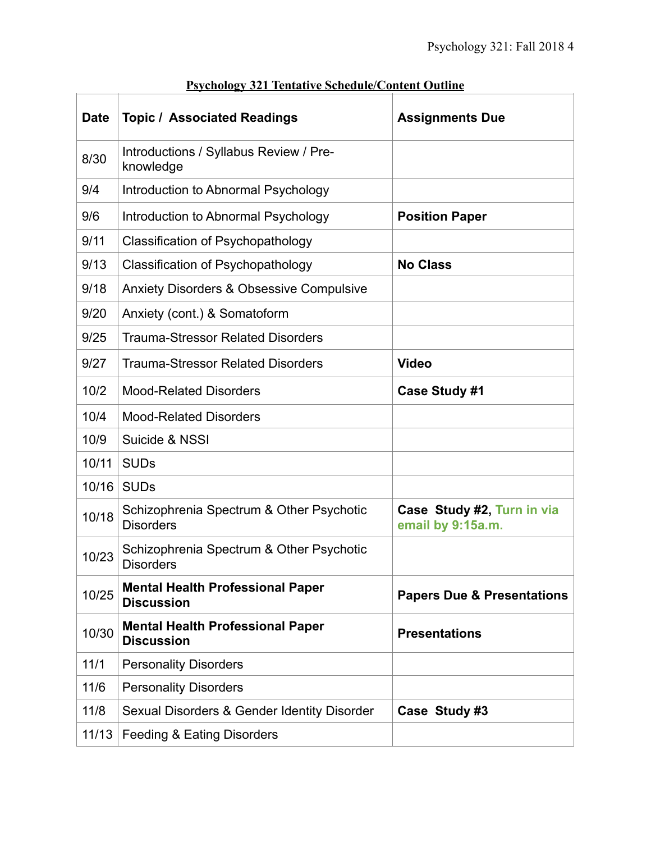| <b>Date</b> | <b>Topic / Associated Readings</b>                           | <b>Assignments Due</b>                          |
|-------------|--------------------------------------------------------------|-------------------------------------------------|
| 8/30        | Introductions / Syllabus Review / Pre-<br>knowledge          |                                                 |
| 9/4         | Introduction to Abnormal Psychology                          |                                                 |
| 9/6         | Introduction to Abnormal Psychology                          | <b>Position Paper</b>                           |
| 9/11        | <b>Classification of Psychopathology</b>                     |                                                 |
| 9/13        | <b>Classification of Psychopathology</b>                     | <b>No Class</b>                                 |
| 9/18        | <b>Anxiety Disorders &amp; Obsessive Compulsive</b>          |                                                 |
| 9/20        | Anxiety (cont.) & Somatoform                                 |                                                 |
| 9/25        | <b>Trauma-Stressor Related Disorders</b>                     |                                                 |
| 9/27        | <b>Trauma-Stressor Related Disorders</b>                     | <b>Video</b>                                    |
| 10/2        | <b>Mood-Related Disorders</b>                                | <b>Case Study #1</b>                            |
| 10/4        | <b>Mood-Related Disorders</b>                                |                                                 |
| 10/9        | Suicide & NSSI                                               |                                                 |
| 10/11       | <b>SUDs</b>                                                  |                                                 |
| 10/16       | <b>SUDs</b>                                                  |                                                 |
| 10/18       | Schizophrenia Spectrum & Other Psychotic<br><b>Disorders</b> | Case Study #2, Turn in via<br>email by 9:15a.m. |
| 10/23       | Schizophrenia Spectrum & Other Psychotic<br><b>Disorders</b> |                                                 |
| 10/25       | <b>Mental Health Professional Paper</b><br><b>Discussion</b> | <b>Papers Due &amp; Presentations</b>           |
| 10/30       | <b>Mental Health Professional Paper</b><br><b>Discussion</b> | <b>Presentations</b>                            |
| 11/1        | <b>Personality Disorders</b>                                 |                                                 |
| 11/6        | <b>Personality Disorders</b>                                 |                                                 |
| 11/8        | Sexual Disorders & Gender Identity Disorder                  | Case Study #3                                   |
| 11/13       | <b>Feeding &amp; Eating Disorders</b>                        |                                                 |

# **Psychology 321 Tentative Schedule/Content Outline**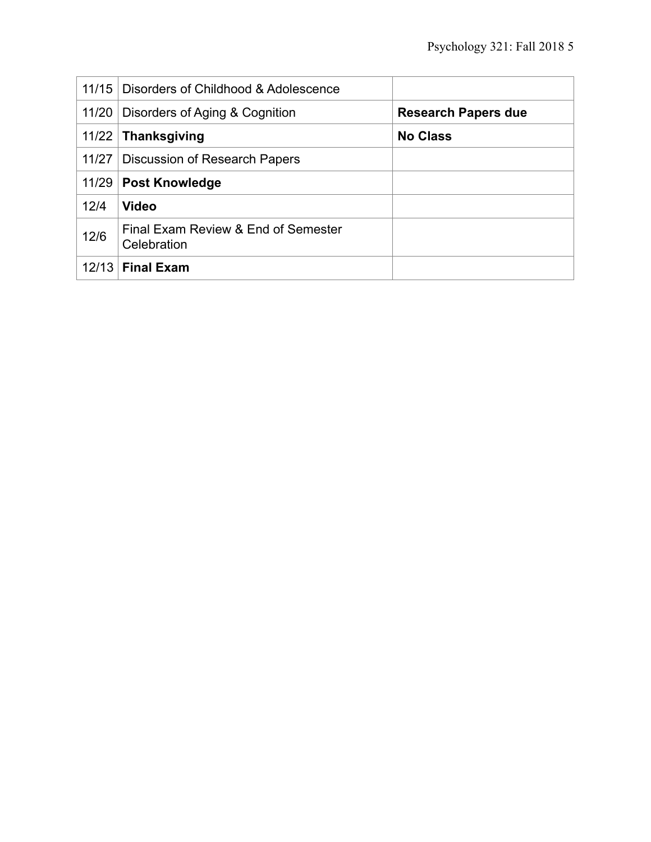| 11/15 | Disorders of Childhood & Adolescence               |                            |
|-------|----------------------------------------------------|----------------------------|
| 11/20 | Disorders of Aging & Cognition                     | <b>Research Papers due</b> |
|       | $11/22$ Thanksgiving                               | <b>No Class</b>            |
| 11/27 | Discussion of Research Papers                      |                            |
|       | 11/29   Post Knowledge                             |                            |
| 12/4  | <b>Video</b>                                       |                            |
| 12/6  | Final Exam Review & End of Semester<br>Celebration |                            |
| 12/13 | <b>Final Exam</b>                                  |                            |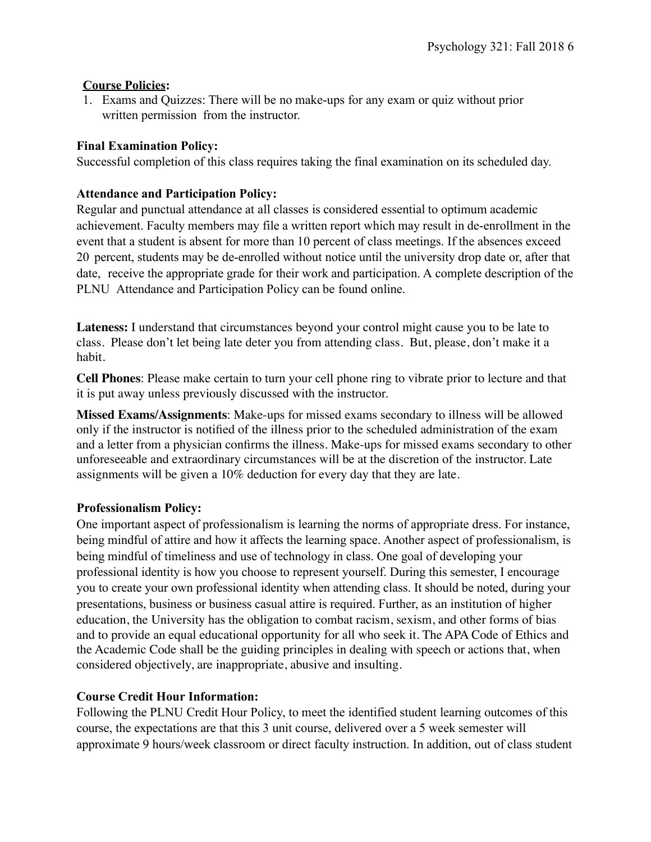## **Course Policies:**

1. Exams and Quizzes: There will be no make-ups for any exam or quiz without prior written permission from the instructor.

#### **Final Examination Policy:**

Successful completion of this class requires taking the final examination on its scheduled day.

## **Attendance and Participation Policy:**

Regular and punctual attendance at all classes is considered essential to optimum academic achievement. Faculty members may file a written report which may result in de-enrollment in the event that a student is absent for more than 10 percent of class meetings. If the absences exceed 20 percent, students may be de-enrolled without notice until the university drop date or, after that date, receive the appropriate grade for their work and participation. A complete description of the PLNU Attendance [and Participation](http://catalog.pointloma.edu/content.php?catoid=18&navoid=1278&Class_Attendance) Policy can be found online.

**Lateness:** I understand that circumstances beyond your control might cause you to be late to class. Please don't let being late deter you from attending class. But, please, don't make it a habit.

**Cell Phones**: Please make certain to turn your cell phone ring to vibrate prior to lecture and that it is put away unless previously discussed with the instructor.

**Missed Exams/Assignments**: Make-ups for missed exams secondary to illness will be allowed only if the instructor is notified of the illness prior to the scheduled administration of the exam and a letter from a physician confirms the illness. Make-ups for missed exams secondary to other unforeseeable and extraordinary circumstances will be at the discretion of the instructor. Late assignments will be given a 10% deduction for every day that they are late.

#### **Professionalism Policy:**

One important aspect of professionalism is learning the norms of appropriate dress. For instance, being mindful of attire and how it affects the learning space. Another aspect of professionalism, is being mindful of timeliness and use of technology in class. One goal of developing your professional identity is how you choose to represent yourself. During this semester, I encourage you to create your own professional identity when attending class. It should be noted, during your presentations, business or business casual attire is required. Further, as an institution of higher education, the University has the obligation to combat racism, sexism, and other forms of bias and to provide an equal educational opportunity for all who seek it. The APA Code of Ethics and the Academic Code shall be the guiding principles in dealing with speech or actions that, when considered objectively, are inappropriate, abusive and insulting.

## **Course Credit Hour Information:**

Following the PLNU Credit Hour Policy, to meet the identified student learning outcomes of this course, the expectations are that this 3 unit course, delivered over a 5 week semester will approximate 9 hours/week classroom or direct faculty instruction. In addition, out of class student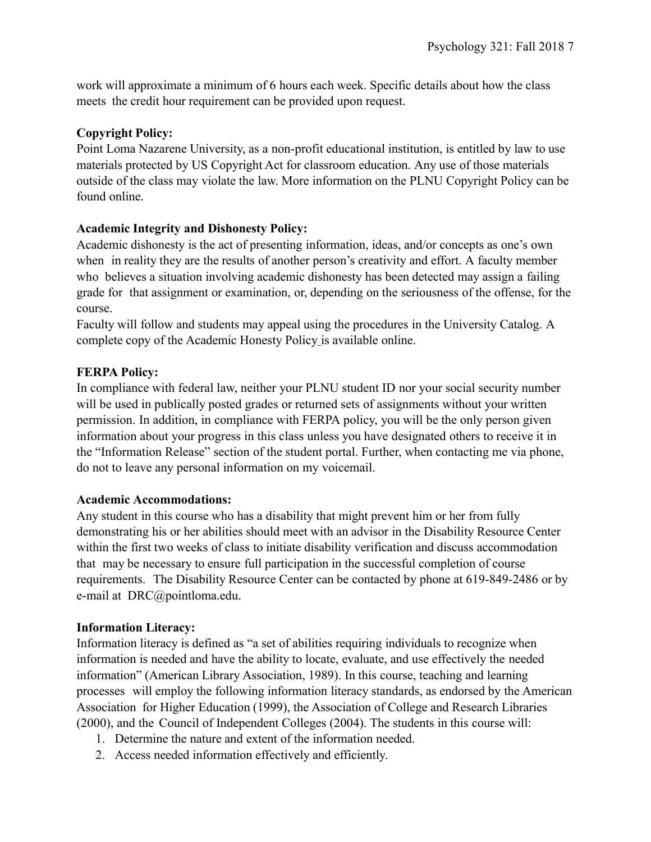work will approximate a minimum of 6 hours each week. Specific details about how the class meets the credit hour requirement can be provided upon request.

## **Copyright Policy:**

Point Loma Nazarene University, as a non-profit educational institution, is entitled by law to use materials protected by US Copyright Act for classroom education. Any use of those materials outside of the class may violate the law. More information on the PLNU Copyright Policy can be found online.

## **Academic Integrity and Dishonesty Policy:**

Academic dishonesty is the act of presenting information, ideas, and/or concepts as one's own when in reality they are the results of another person's creativity and effort. A faculty member who believes a situation involving academic dishonesty has been detected may assign a failing grade for that assignment or examination, or, depending on the seriousness of the offense, for the course.

Faculty will follow and students may appeal using the procedures in the University Catalog. A complete copy of the Academic Honesty Policy is available online.

## **FERPA Policy:**

In compliance with federal law, neither your PLNU student ID nor your social security number will be used in publically posted grades or returned sets of assignments without your written permission. In addition, in compliance with FERPA policy, you will be the only person given information about your progress in this class unless you have designated others to receive it in the "Information Release" section of the student portal. Further, when contacting me via phone, do not to leave any personal information on my voicemail.

## **Academic Accommodations:**

Any student in this course who has a disability that might prevent him or her from fully demonstrating his or her abilities should meet with an advisor in the Disability Resource Center within the first two weeks of class to initiate disability verification and discuss accommodation that may be necessary to ensure full participation in the successful completion of course requirements. The Disability Resource Center can be contacted by phone at 619-849-2486 or by e-mail at DRC@pointloma.edu.

#### **Information Literacy:**

Information literacy is defined as "a set of abilities requiring individuals to recognize when information is needed and have the ability to locate, evaluate, and use effectively the needed information" (American Library Association, 1989). In this course, teaching and learning processes will employ the following information literacy standards, as endorsed by the American Association for Higher Education (1999), the Association of College and Research Libraries (2000), and the Council of Independent Colleges (2004). The students in this course will:

- 1. Determine the nature and extent of the information needed.
- 2. Access needed information effectively and efficiently.